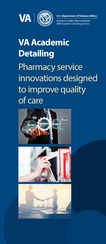



**U.S. Department of Veterans Affairs** 

**Veterans Health Administration** PBM Academic Detailing Service 

# **VA Academic Detailing** Pharmacy service innovations designed to improve quality of care





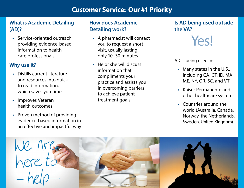## **Customer Service: Our #1 Priority**

### **What is Academic Detailing (AD)?**

**•** Service-oriented outreach providing evidence-based information to health care professionals

### **Why use it?**

- Distills current literature and resources into quick to read information, which saves you time
- Improves Veteran health outcomes
- Proven method of providing evidence-based information in an effective and impactful way

### **How does Academic Detailing work?**

- A pharmacist will contact you to request a short visit, usually lasting only 10–30 minutes
- He or she will discuss information that compliments your practice and assists you in overcoming barriers to achieve patient treatment goals

### **Is AD being used outside the VA?**



AD is being used in:

- Many states in the U.S., including CA, CT, ID, MA, ME, NY, OR, SC, and VT
- Kaiser Permanente and other healthcare systems
- Countries around the world (Australia, Canada, Norway, the Netherlands, Sweden, United Kingdom)